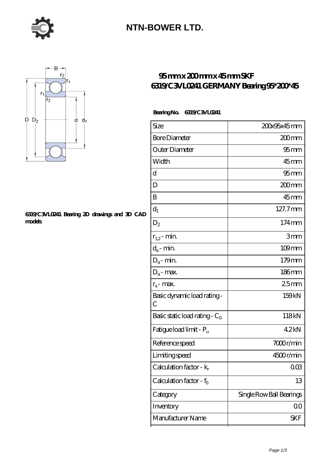

### **[NTN-BOWER LTD.](https://m.moreymansion.com)**



#### **[6319/C3VL0241 Bearing 2D drawings and 3D CAD](https://m.moreymansion.com/pic-305130.html) [models](https://m.moreymansion.com/pic-305130.html)**

### **[95 mm x 200 mm x 45 mm SKF](https://m.moreymansion.com/aw-305130-skf-6319-c3vl0241-germany-bearing-95-200-45.html) [6319/C3VL0241 GERMANY Bearing 95\\*200\\*45](https://m.moreymansion.com/aw-305130-skf-6319-c3vl0241-germany-bearing-95-200-45.html)**

### **Bearing No. 6319/C3VL0241**

| Size                                | 200x95x45mm              |
|-------------------------------------|--------------------------|
| <b>Bore Diameter</b>                | $200$ mm                 |
| Outer Diameter                      | $95$ <sub>mm</sub>       |
| Width                               | $45$ mm                  |
| d                                   | $95 \text{mm}$           |
| D                                   | 200mm                    |
| B                                   | $45$ <sub>mm</sub>       |
| $d_1$                               | 127.7mm                  |
| $D_2$                               | $174 \,\mathrm{mm}$      |
| $r_{1,2}$ - min.                    | 3mm                      |
| $d_a$ - min.                        | $109$ mm                 |
| $D_a$ - min.                        | $179$ mm                 |
| $D_a$ - max.                        | $186$ mm                 |
| $r_a$ - max.                        | 25mm                     |
| Basic dynamic load rating -<br>C    | 159kN                    |
| Basic static load rating - $C_0$    | 118kN                    |
| Fatigue load limit - P <sub>u</sub> | 42kN                     |
| Reference speed                     | 7000r/min                |
| Limiting speed                      | 4500r/min                |
| Calculation factor - $k_r$          | 003                      |
| Calculation factor - $f_0$          | 13                       |
| Category                            | Single Row Ball Bearings |
| Inventory                           | 00                       |
| Manufacturer Name                   | SKF                      |
|                                     |                          |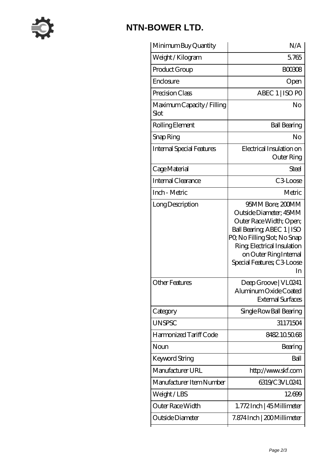

# **[NTN-BOWER LTD.](https://m.moreymansion.com)**

| Minimum Buy Quantity               | N/A                                                                                                                                                                                                                             |
|------------------------------------|---------------------------------------------------------------------------------------------------------------------------------------------------------------------------------------------------------------------------------|
| Weight/Kilogram                    | 5765                                                                                                                                                                                                                            |
| Product Group                      | <b>BOO308</b>                                                                                                                                                                                                                   |
| Enclosure                          | Open                                                                                                                                                                                                                            |
| Precision Class                    | ABEC 1   ISO PO                                                                                                                                                                                                                 |
| Maximum Capacity / Filling<br>Slot | No                                                                                                                                                                                                                              |
| Rolling Element                    | <b>Ball Bearing</b>                                                                                                                                                                                                             |
| Snap Ring                          | No                                                                                                                                                                                                                              |
| Internal Special Features          | Electrical Insulation on<br><b>Outer Ring</b>                                                                                                                                                                                   |
| Cage Material                      | Steel                                                                                                                                                                                                                           |
| Internal Clearance                 | C <sub>3</sub> Loose                                                                                                                                                                                                            |
| Inch - Metric                      | Metric                                                                                                                                                                                                                          |
| Long Description                   | 95MM Bore; 200MM<br>Outside Diameter; 45MM<br>Outer Race Width; Open;<br>Ball Bearing, ABEC 1   ISO<br>PQ No Filling Slot; No Snap<br>Ring, Electrical Insulation<br>on Outer Ring Internal<br>Special Features; C3 Loose<br>In |
| Other Features                     | Deep Groove   VL0241<br>Aluminum Oxide Coated<br><b>External Surfaces</b>                                                                                                                                                       |
| Category                           | Single Row Ball Bearing                                                                                                                                                                                                         |
| <b>UNSPSC</b>                      | 31171504                                                                                                                                                                                                                        |
| Harmonized Tariff Code             | 8482.105068                                                                                                                                                                                                                     |
| Noun                               | Bearing                                                                                                                                                                                                                         |
| Keyword String                     | Ball                                                                                                                                                                                                                            |
| Manufacturer URL                   | http://www.skf.com                                                                                                                                                                                                              |
| Manufacturer Item Number           | 6319/C3VL0241                                                                                                                                                                                                                   |
| Weight/LBS                         | 12699                                                                                                                                                                                                                           |
| Outer Race Width                   | 1.772Inch   45 Millimeter                                                                                                                                                                                                       |
| Outside Diameter                   | 7.874 Inch   200 Millimeter                                                                                                                                                                                                     |